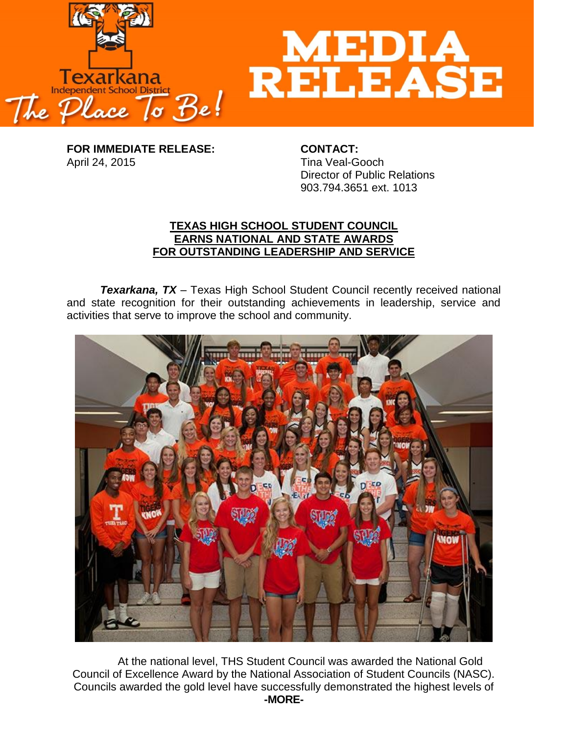



**FOR IMMEDIATE RELEASE: CONTACT:** April 24, 2015 **Time Veal-Gooch** 

Director of Public Relations 903.794.3651 ext. 1013

## **TEXAS HIGH SCHOOL STUDENT COUNCIL EARNS NATIONAL AND STATE AWARDS FOR OUTSTANDING LEADERSHIP AND SERVICE**

**Texarkana, TX** – Texas High School Student Council recently received national and state recognition for their outstanding achievements in leadership, service and activities that serve to improve the school and community.



At the national level, THS Student Council was awarded the National Gold Council of Excellence Award by the National Association of Student Councils (NASC). Councils awarded the gold level have successfully demonstrated the highest levels of **-MORE-**